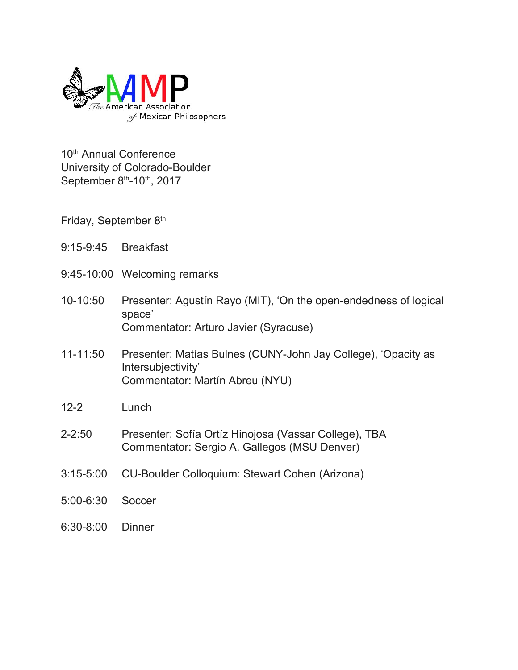

10<sup>th</sup> Annual Conference University of Colorado-Boulder September 8<sup>th</sup>-10<sup>th</sup>, 2017

Friday, September 8<sup>th</sup>

- 9:15-9:45 Breakfast
- 9:45-10:00 Welcoming remarks
- 10-10:50 Presenter: Agustín Rayo (MIT), 'On the open-endedness of logical space' Commentator: Arturo Javier (Syracuse)
- 11-11:50 Presenter: Matías Bulnes (CUNY-John Jay College), 'Opacity as Intersubjectivity' Commentator: Martín Abreu (NYU)
- 12-2 Lunch
- 2-2:50 Presenter: Sofía Ortíz Hinojosa (Vassar College), TBA Commentator: Sergio A. Gallegos (MSU Denver)
- 3:15-5:00 CU-Boulder Colloquium: Stewart Cohen (Arizona)
- 5:00-6:30 Soccer
- 6:30-8:00 Dinner